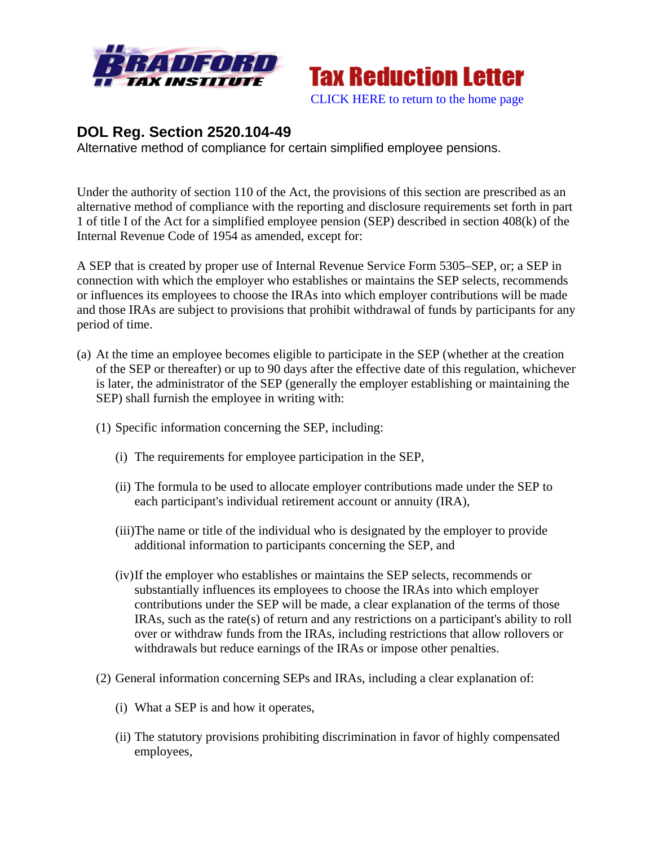



## **DOL Reg. Section 2520.104-49**

Alternative method of compliance for certain simplified employee pensions.

Under the authority of section 110 of the Act, the provisions of this section are prescribed as an alternative method of compliance with the reporting and disclosure requirements set forth in part 1 of title I of the Act for a simplified employee pension (SEP) described in section 408(k) of the Internal Revenue Code of 1954 as amended, except for:

A SEP that is created by proper use of Internal Revenue Service Form 5305–SEP, or; a SEP in connection with which the employer who establishes or maintains the SEP selects, recommends or influences its employees to choose the IRAs into which employer contributions will be made and those IRAs are subject to provisions that prohibit withdrawal of funds by participants for any period of time.

- (a) At the time an employee becomes eligible to participate in the SEP (whether at the creation of the SEP or thereafter) or up to 90 days after the effective date of this regulation, whichever is later, the administrator of the SEP (generally the employer establishing or maintaining the SEP) shall furnish the employee in writing with:
	- (1) Specific information concerning the SEP, including:
		- (i) The requirements for employee participation in the SEP,
		- (ii) The formula to be used to allocate employer contributions made under the SEP to each participant's individual retirement account or annuity (IRA),
		- (iii)The name or title of the individual who is designated by the employer to provide additional information to participants concerning the SEP, and
		- (iv)If the employer who establishes or maintains the SEP selects, recommends or substantially influences its employees to choose the IRAs into which employer contributions under the SEP will be made, a clear explanation of the terms of those IRAs, such as the rate(s) of return and any restrictions on a participant's ability to roll over or withdraw funds from the IRAs, including restrictions that allow rollovers or withdrawals but reduce earnings of the IRAs or impose other penalties.
	- (2) General information concerning SEPs and IRAs, including a clear explanation of:
		- (i) What a SEP is and how it operates,
		- (ii) The statutory provisions prohibiting discrimination in favor of highly compensated employees,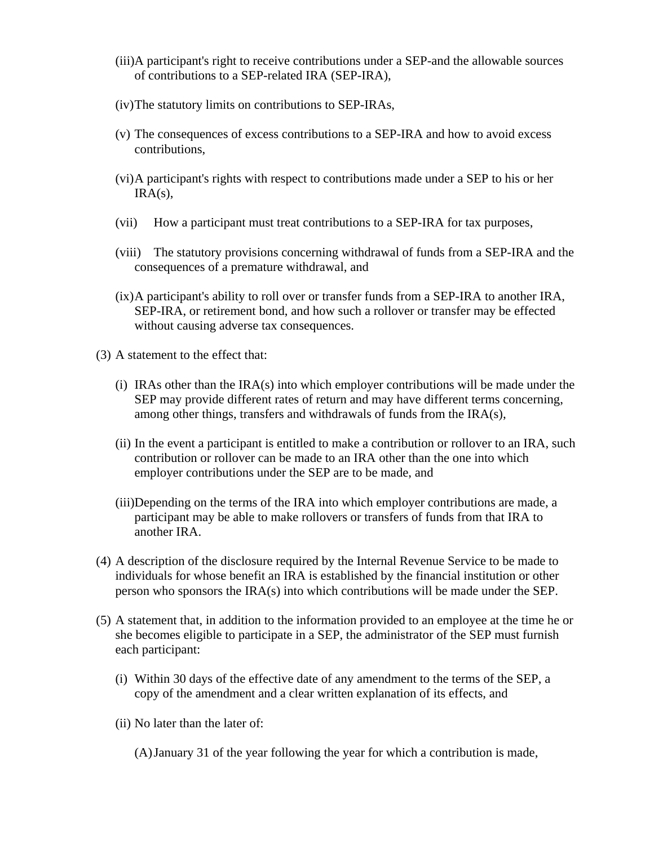- (iii)A participant's right to receive contributions under a SEP-and the allowable sources of contributions to a SEP-related IRA (SEP-IRA),
- (iv)The statutory limits on contributions to SEP-IRAs,
- (v) The consequences of excess contributions to a SEP-IRA and how to avoid excess contributions,
- (vi)A participant's rights with respect to contributions made under a SEP to his or her  $IRA(s)$ ,
- (vii) How a participant must treat contributions to a SEP-IRA for tax purposes,
- (viii) The statutory provisions concerning withdrawal of funds from a SEP-IRA and the consequences of a premature withdrawal, and
- (ix)A participant's ability to roll over or transfer funds from a SEP-IRA to another IRA, SEP-IRA, or retirement bond, and how such a rollover or transfer may be effected without causing adverse tax consequences.
- (3) A statement to the effect that:
	- (i) IRAs other than the  $IRA(s)$  into which employer contributions will be made under the SEP may provide different rates of return and may have different terms concerning, among other things, transfers and withdrawals of funds from the IRA(s),
	- (ii) In the event a participant is entitled to make a contribution or rollover to an IRA, such contribution or rollover can be made to an IRA other than the one into which employer contributions under the SEP are to be made, and
	- (iii)Depending on the terms of the IRA into which employer contributions are made, a participant may be able to make rollovers or transfers of funds from that IRA to another IRA.
- (4) A description of the disclosure required by the Internal Revenue Service to be made to individuals for whose benefit an IRA is established by the financial institution or other person who sponsors the IRA(s) into which contributions will be made under the SEP.
- (5) A statement that, in addition to the information provided to an employee at the time he or she becomes eligible to participate in a SEP, the administrator of the SEP must furnish each participant:
	- (i) Within 30 days of the effective date of any amendment to the terms of the SEP, a copy of the amendment and a clear written explanation of its effects, and
	- (ii) No later than the later of:
		- (A)January 31 of the year following the year for which a contribution is made,